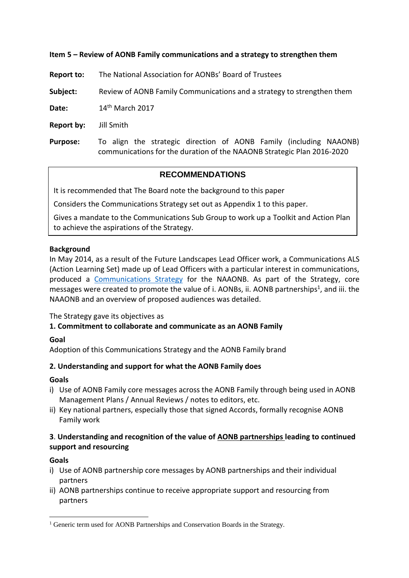### **Item 5 – Review of AONB Family communications and a strategy to strengthen them**

**Report to:** The National Association for AONBs' Board of Trustees

**Subject:** Review of AONB Family Communications and a strategy to strengthen them

**Date:** 14th March 2017

**Report by:** Jill Smith

**Purpose:** To align the strategic direction of AONB Family (including NAAONB) communications for the duration of the NAAONB Strategic Plan 2016-2020

# **RECOMMENDATIONS**

It is recommended that The Board note the background to this paper

Considers the Communications Strategy set out as Appendix 1 to this paper.

Gives a mandate to the Communications Sub Group to work up a Toolkit and Action Plan to achieve the aspirations of the Strategy.

#### **Background**

In May 2014, as a result of the Future Landscapes Lead Officer work, a Communications ALS (Action Learning Set) made up of Lead Officers with a particular interest in communications, produced a [Communications Strategy](https://naaonb.basecamphq.com/projects/13343600-library/log) for the NAAONB. As part of the Strategy, core messages were created to promote the value of i. AONBs, ii. AONB partnerships<sup>1</sup>, and iii. the NAAONB and an overview of proposed audiences was detailed.

#### The Strategy gave its objectives as

## **1. Commitment to collaborate and communicate as an AONB Family**

#### **Goal**

Adoption of this Communications Strategy and the AONB Family brand

#### **2. Understanding and support for what the AONB Family does**

#### **Goals**

- i) Use of AONB Family core messages across the AONB Family through being used in AONB Management Plans / Annual Reviews / notes to editors, etc.
- ii) Key national partners, especially those that signed Accords, formally recognise AONB Family work

## **3**. **Understanding and recognition of the value of AONB partnerships leading to continued support and resourcing**

#### **Goals**

1

- i) Use of AONB partnership core messages by AONB partnerships and their individual partners
- ii) AONB partnerships continue to receive appropriate support and resourcing from partners

<sup>&</sup>lt;sup>1</sup> Generic term used for AONB Partnerships and Conservation Boards in the Strategy.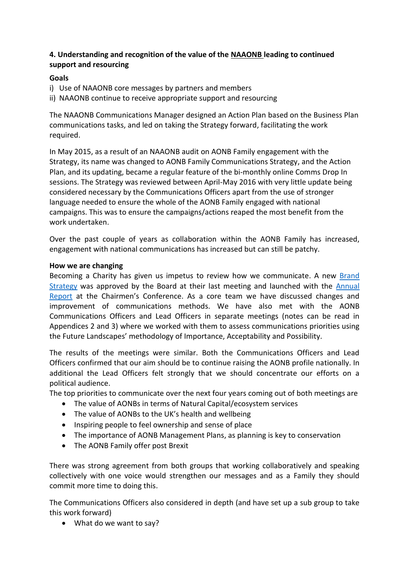# **4. Understanding and recognition of the value of the NAAONB leading to continued support and resourcing**

## **Goals**

- i) Use of NAAONB core messages by partners and members
- ii) NAAONB continue to receive appropriate support and resourcing

The NAAONB Communications Manager designed an Action Plan based on the Business Plan communications tasks, and led on taking the Strategy forward, facilitating the work required.

In May 2015, as a result of an NAAONB audit on AONB Family engagement with the Strategy, its name was changed to AONB Family Communications Strategy, and the Action Plan, and its updating, became a regular feature of the bi-monthly online Comms Drop In sessions. The Strategy was reviewed between April-May 2016 with very little update being considered necessary by the Communications Officers apart from the use of stronger language needed to ensure the whole of the AONB Family engaged with national campaigns. This was to ensure the campaigns/actions reaped the most benefit from the work undertaken.

Over the past couple of years as collaboration within the AONB Family has increased, engagement with national communications has increased but can still be patchy.

#### **How we are changing**

Becoming a Charity has given us impetus to review how we communicate. A new [Brand](http://www.landscapesforlife.org.uk/images/Charity-Brand-Strategy-FINAL.pdf)  [Strategy](http://www.landscapesforlife.org.uk/images/Charity-Brand-Strategy-FINAL.pdf) was approved by the Board at their last meeting and launched with the [Annual](http://www.landscapesforlife.org.uk/images/Annual-Report-2016-FINAL.pdf)  [Report](http://www.landscapesforlife.org.uk/images/Annual-Report-2016-FINAL.pdf) at the Chairmen's Conference. As a core team we have discussed changes and improvement of communications methods. We have also met with the AONB Communications Officers and Lead Officers in separate meetings (notes can be read in Appendices 2 and 3) where we worked with them to assess communications priorities using the Future Landscapes' methodology of Importance, Acceptability and Possibility.

The results of the meetings were similar. Both the Communications Officers and Lead Officers confirmed that our aim should be to continue raising the AONB profile nationally. In additional the Lead Officers felt strongly that we should concentrate our efforts on a political audience.

The top priorities to communicate over the next four years coming out of both meetings are

- The value of AONBs in terms of Natural Capital/ecosystem services
- The value of AONBs to the UK's health and wellbeing
- Inspiring people to feel ownership and sense of place
- The importance of AONB Management Plans, as planning is key to conservation
- The AONB Family offer post Brexit

There was strong agreement from both groups that working collaboratively and speaking collectively with one voice would strengthen our messages and as a Family they should commit more time to doing this.

The Communications Officers also considered in depth (and have set up a sub group to take this work forward)

• What do we want to say?